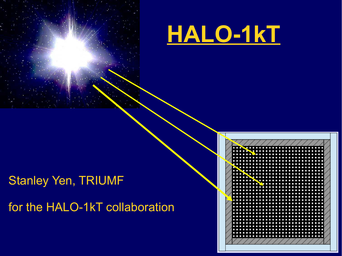



# Stanley Yen, TRIUMF

for the HALO-1kT collaboration

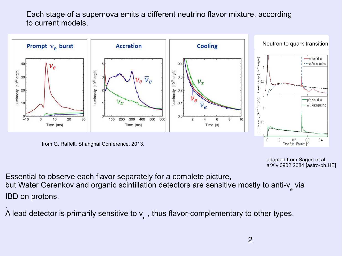Each stage of a supernova emits a different neutrino flavor mixture, according to current models.



from G. Raffelt, Shanghai Conference, 2013.

adapted from Sagert et al. arXiv:0902.2084 [astro-ph.HE]

Essential to observe each flavor separately for a complete picture, but Water Cerenkov and organic scintillation detectors are sensitive mostly to anti-v<sub>e</sub> via IBD on protons.

. A lead detector is primarily sensitive to  $\mathsf{v}_{_{\mathrm{e}}}$  , thus flavor-complementary to other types.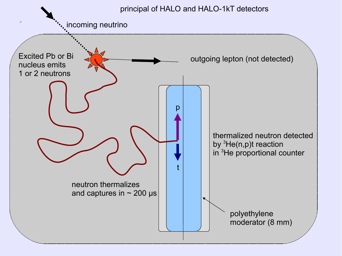#### principal of HALO and HALO-1kT detectors

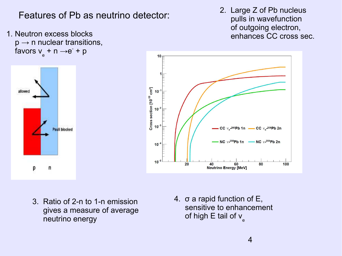Features of Pb as neutrino detector:

1. Neutron excess blocks  $p \rightarrow n$  nuclear transitions, favors v $_{\rm e}$  + n  $\rightarrow$ e<sup>-</sup> + p

2. Large Z of Pb nucleus pulls in wavefunction of outgoing electron, enhances CC cross sec.



- allowed Pauli blocked р n
	- 3. Ratio of 2-n to 1-n emission gives a measure of average neutrino energy

4. σ a rapid function of E, sensitive to enhancement of high E tail of v $_{\rm e}$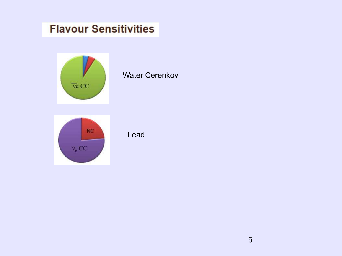## **Flavour Sensitivities**



### Water Cerenkov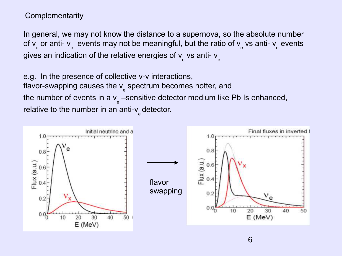### **Complementarity**

In general, we may not know the distance to a supernova, so the absolute number of v<sub>e</sub> or anti- ν<sub>e</sub> events may not be meaningful, but the <u>ratio</u> of ν<sub>e</sub> vs anti- ν<sub>e</sub> events gives an indication of the relative energies of  $\mathsf{v}_{_{\mathrm{e}}}$  vs anti-  $\mathsf{v}_{_{\mathrm{e}}}$ 

e.g. In the presence of collective ν-ν interactions, flavor-swapping causes the v<sub>e</sub> spectrum becomes hotter, and the number of events in a v $_{\rm e}$  –sensitive detector medium like Pb Is enhanced, relative to the number in an anti-v $_{\textrm{\tiny{e}}}$ detector.

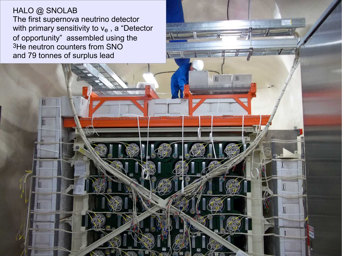HALO @ SNOLAB The first supernova neutrino detector with primary sensitivity to  $v_e$ , a "Detector of opportunity" assembled using the 3He neutron counters from SNO and 79 tonnes of surplus lead

Щ

 $\overline{\mathbb{1}}$ 

 $\mathbf{1}$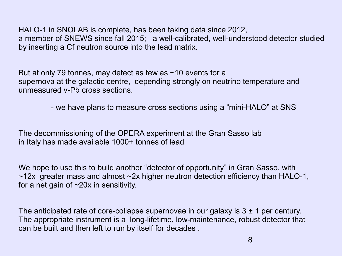HALO-1 in SNOLAB is complete, has been taking data since 2012, a member of SNEWS since fall 2015; a well-calibrated, well-understood detector studied by inserting a Cf neutron source into the lead matrix.

But at only 79 tonnes, may detect as few as ~10 events for a supernova at the galactic centre, depending strongly on neutrino temperature and unmeasured ν-Pb cross sections.

- we have plans to measure cross sections using a "mini-HALO" at SNS

The decommissioning of the OPERA experiment at the Gran Sasso lab in Italy has made available 1000+ tonnes of lead

We hope to use this to build another "detector of opportunity" in Gran Sasso, with ~12x greater mass and almost ~2x higher neutron detection efficiency than HALO-1, for a net gain of ~20x in sensitivity.

The anticipated rate of core-collapse supernovae in our galaxy is  $3 \pm 1$  per century. The appropriate instrument is a long-lifetime, low-maintenance, robust detector that can be built and then left to run by itself for decades .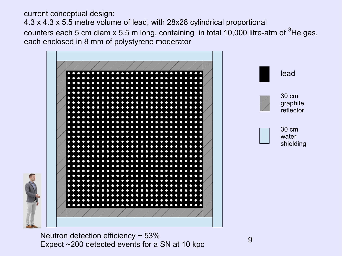current conceptual design: 4.3 x 4.3 x 5.5 metre volume of lead, with 28x28 cylindrical proportional counters each 5 cm diam  $x$  5.5 m long, containing in total 10,000 litre-atm of  $3$ He gas, each enclosed in 8 mm of polystyrene moderator



Neutron detection efficiency  $\sim$  53% Expect ~200 detected events for a SN at 10 kpc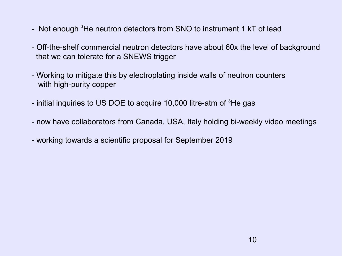- Not enough <sup>3</sup>He neutron detectors from SNO to instrument 1 kT of lead
- Off-the-shelf commercial neutron detectors have about 60x the level of background that we can tolerate for a SNEWS trigger
- Working to mitigate this by electroplating inside walls of neutron counters with high-purity copper
- initial inquiries to US DOE to acquire 10,000 litre-atm of <sup>3</sup>He gas
- now have collaborators from Canada, USA, Italy holding bi-weekly video meetings
- working towards a scientific proposal for September 2019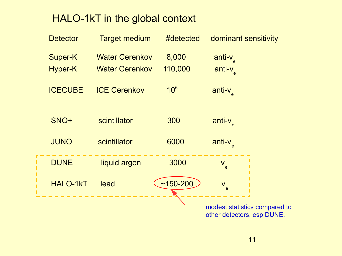## HALO-1kT in the global context

| <b>Detector</b> | <b>Target medium</b>  | #detected       | dominant sensitivity                                        |
|-----------------|-----------------------|-----------------|-------------------------------------------------------------|
| <b>Super-K</b>  | <b>Water Cerenkov</b> | 8,000           | anti-v <sub>e</sub>                                         |
| <b>Hyper-K</b>  | <b>Water Cerenkov</b> | 110,000         | anti-ve                                                     |
| <b>ICECUBE</b>  | <b>ICE Cerenkov</b>   | 10 <sup>6</sup> | anti-ve                                                     |
| SNO+            | scintillator          | 300             | anti-v <sub>e</sub>                                         |
| <b>JUNO</b>     | scintillator          | 6000            | anti-v <sub>e</sub>                                         |
| <b>DUNE</b>     | liquid argon          | 3000            | Ve                                                          |
| <b>HALO-1kT</b> | lead                  | $~150 - 200$    | $V_e$                                                       |
|                 |                       |                 | modest statistics compared to<br>other detectors, esp DUNE. |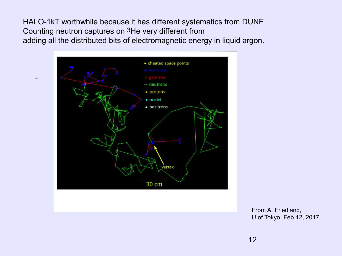HALO-1kT worthwhile because it has different systematics from DUNE Counting neutron captures on 3He very different from adding all the distributed bits of electromagnetic energy in liquid argon.



-

From A. Friedland, U of Tokyo, Feb 12, 2017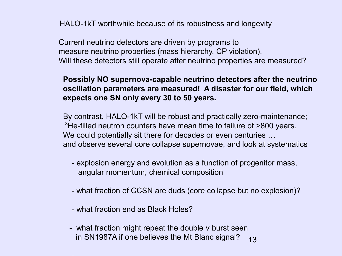HALO-1kT worthwhile because of its robustness and longevity

 Current neutrino detectors are driven by programs to measure neutrino properties (mass hierarchy, CP violation). Will these detectors still operate after neutrino properties are measured?

### **Possibly NO supernova-capable neutrino detectors after the neutrino oscillation parameters are measured! A disaster for our field, which expects one SN only every 30 to 50 years.**

By contrast, HALO-1kT will be robust and practically zero-maintenance; <sup>3</sup>He-filled neutron counters have mean time to failure of >800 years. We could potentially sit there for decades or even centuries … and observe several core collapse supernovae, and look at systematics

- explosion energy and evolution as a function of progenitor mass, angular momentum, chemical composition
- what fraction of CCSN are duds (core collapse but no explosion)?
- what fraction end as Black Holes?
- 13 - what fraction might repeat the double ν burst seen in SN1987A if one believes the Mt Blanc signal?